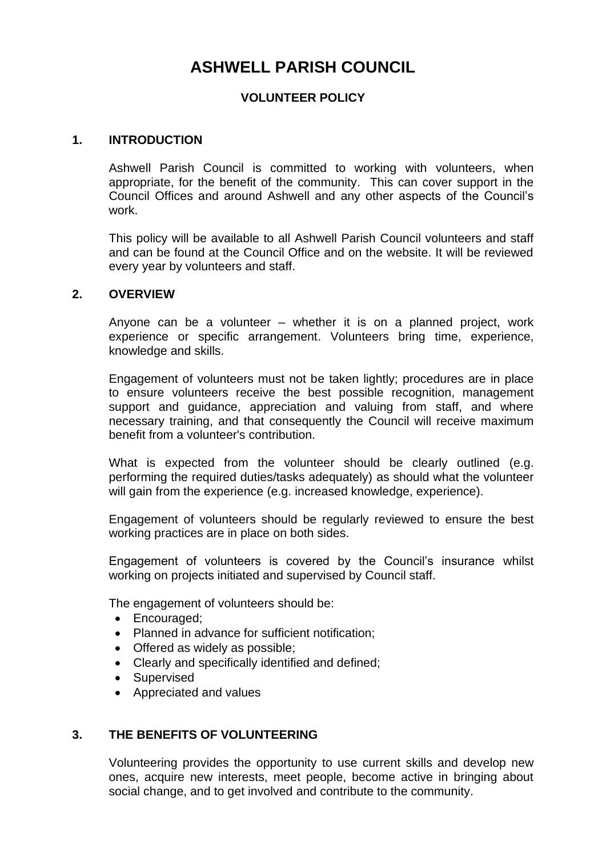# **ASHWELL PARISH COUNCIL**

## **VOLUNTEER POLICY**

### **1. INTRODUCTION**

Ashwell Parish Council is committed to working with volunteers, when appropriate, for the benefit of the community. This can cover support in the Council Offices and around Ashwell and any other aspects of the Council's work.

This policy will be available to all Ashwell Parish Council volunteers and staff and can be found at the Council Office and on the website. It will be reviewed every year by volunteers and staff.

#### **2. OVERVIEW**

Anyone can be a volunteer – whether it is on a planned project, work experience or specific arrangement. Volunteers bring time, experience, knowledge and skills.

Engagement of volunteers must not be taken lightly; procedures are in place to ensure volunteers receive the best possible recognition, management support and guidance, appreciation and valuing from staff, and where necessary training, and that consequently the Council will receive maximum benefit from a volunteer's contribution.

What is expected from the volunteer should be clearly outlined (e.g. performing the required duties/tasks adequately) as should what the volunteer will gain from the experience (e.g. increased knowledge, experience).

Engagement of volunteers should be regularly reviewed to ensure the best working practices are in place on both sides.

Engagement of volunteers is covered by the Council's insurance whilst working on projects initiated and supervised by Council staff.

The engagement of volunteers should be:

- Encouraged;
- Planned in advance for sufficient notification;
- Offered as widely as possible;
- Clearly and specifically identified and defined;
- Supervised
- Appreciated and values

## **3. THE BENEFITS OF VOLUNTEERING**

Volunteering provides the opportunity to use current skills and develop new ones, acquire new interests, meet people, become active in bringing about social change, and to get involved and contribute to the community.